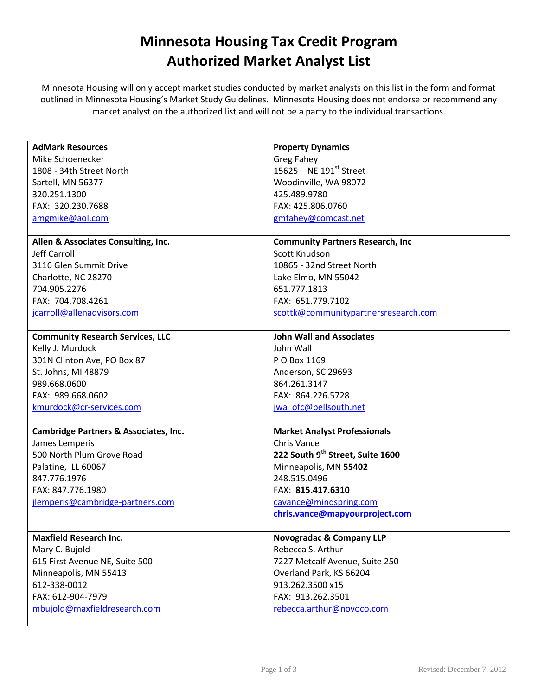## Minnesota Housing Tax Credit Program Authorized Market Analyst List

Minnesota Housing will only accept market studies conducted by market analysts on this list in the form and format outlined in Minnesota Housing's Market Study Guidelines. Minnesota Housing does not endorse or recommend any market analyst on the authorized list and will not be a party to the individual transactions.

| <b>AdMark Resources</b>                          | <b>Property Dynamics</b>                 |
|--------------------------------------------------|------------------------------------------|
| Mike Schoenecker                                 | <b>Greg Fahey</b>                        |
| 1808 - 34th Street North                         | 15625 – NE 191st Street                  |
| Sartell, MN 56377                                | Woodinville, WA 98072                    |
| 320.251.1300                                     | 425.489.9780                             |
| FAX: 320.230.7688                                | FAX: 425.806.0760                        |
| amgmike@aol.com                                  | gmfahey@comcast.net                      |
|                                                  |                                          |
| Allen & Associates Consulting, Inc.              | <b>Community Partners Research, Inc.</b> |
| Jeff Carroll                                     | Scott Knudson                            |
| 3116 Glen Summit Drive                           | 10865 - 32nd Street North                |
| Charlotte, NC 28270                              | Lake Elmo, MN 55042                      |
| 704.905.2276                                     | 651.777.1813                             |
| FAX: 704.708.4261                                | FAX: 651.779.7102                        |
| jcarroll@allenadvisors.com                       | scottk@communitypartnersresearch.com     |
|                                                  |                                          |
| <b>Community Research Services, LLC</b>          | <b>John Wall and Associates</b>          |
| Kelly J. Murdock                                 | John Wall                                |
| 301N Clinton Ave, PO Box 87                      | P O Box 1169                             |
| St. Johns, MI 48879                              | Anderson, SC 29693                       |
| 989.668.0600                                     | 864.261.3147                             |
| FAX: 989.668.0602                                | FAX: 864.226.5728                        |
| kmurdock@cr-services.com                         | jwa_ofc@bellsouth.net                    |
|                                                  |                                          |
| <b>Cambridge Partners &amp; Associates, Inc.</b> | <b>Market Analyst Professionals</b>      |
| James Lemperis                                   | Chris Vance                              |
| 500 North Plum Grove Road                        | 222 South 9th Street, Suite 1600         |
| Palatine, ILL 60067                              | Minneapolis, MN 55402                    |
| 847.776.1976                                     | 248.515.0496                             |
| FAX: 847.776.1980                                | FAX: 815.417.6310                        |
| jlemperis@cambridge-partners.com                 | cavance@mindspring.com                   |
|                                                  | chris.vance@mapyourproject.com           |
|                                                  |                                          |
| <b>Maxfield Research Inc.</b>                    | <b>Novogradac &amp; Company LLP</b>      |
| Mary C. Bujold                                   | Rebecca S. Arthur                        |
| 615 First Avenue NE, Suite 500                   | 7227 Metcalf Avenue, Suite 250           |
| Minneapolis, MN 55413                            | Overland Park, KS 66204                  |
| 612-338-0012                                     | 913.262.3500 x15                         |
| FAX: 612-904-7979                                | FAX: 913.262.3501                        |
| mbujold@maxfieldresearch.com                     | rebecca.arthur@novoco.com                |
|                                                  |                                          |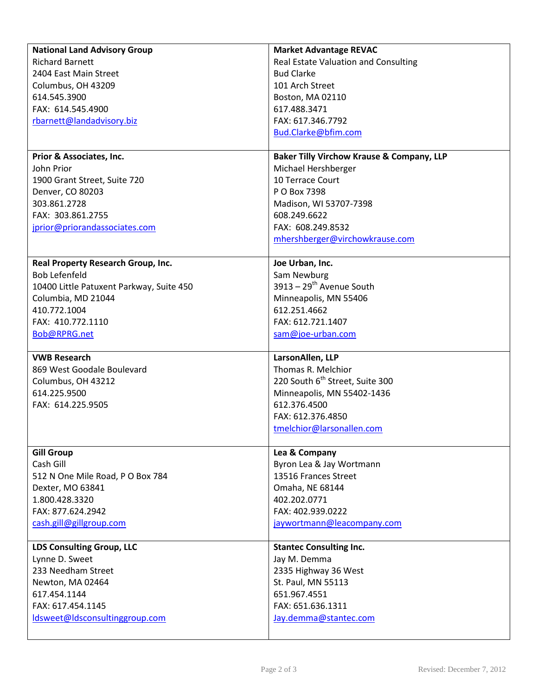| <b>National Land Advisory Group</b>      | <b>Market Advantage REVAC</b>                        |
|------------------------------------------|------------------------------------------------------|
| <b>Richard Barnett</b>                   | Real Estate Valuation and Consulting                 |
| 2404 East Main Street                    | <b>Bud Clarke</b>                                    |
| Columbus, OH 43209                       | 101 Arch Street                                      |
| 614.545.3900                             | Boston, MA 02110                                     |
| FAX: 614.545.4900                        | 617.488.3471                                         |
| rbarnett@landadvisory.biz                | FAX: 617.346.7792                                    |
|                                          | Bud.Clarke@bfim.com                                  |
|                                          |                                                      |
| Prior & Associates, Inc.                 | <b>Baker Tilly Virchow Krause &amp; Company, LLP</b> |
| John Prior                               | Michael Hershberger                                  |
| 1900 Grant Street, Suite 720             | 10 Terrace Court                                     |
| Denver, CO 80203                         | P O Box 7398                                         |
| 303.861.2728                             | Madison, WI 53707-7398                               |
| FAX: 303.861.2755                        | 608.249.6622                                         |
| jprior@priorandassociates.com            | FAX: 608.249.8532                                    |
|                                          | mhershberger@virchowkrause.com                       |
|                                          |                                                      |
| Real Property Research Group, Inc.       | Joe Urban, Inc.                                      |
| <b>Bob Lefenfeld</b>                     | Sam Newburg                                          |
| 10400 Little Patuxent Parkway, Suite 450 | $3913 - 29$ <sup>th</sup> Avenue South               |
| Columbia, MD 21044                       | Minneapolis, MN 55406                                |
| 410.772.1004                             | 612.251.4662                                         |
| FAX: 410.772.1110                        | FAX: 612.721.1407                                    |
| Bob@RPRG.net                             | sam@joe-urban.com                                    |
|                                          |                                                      |
|                                          |                                                      |
| <b>VWB Research</b>                      | LarsonAllen, LLP                                     |
| 869 West Goodale Boulevard               | Thomas R. Melchior                                   |
| Columbus, OH 43212                       | 220 South 6 <sup>th</sup> Street, Suite 300          |
| 614.225.9500                             | Minneapolis, MN 55402-1436                           |
| FAX: 614.225.9505                        | 612.376.4500                                         |
|                                          | FAX: 612.376.4850                                    |
|                                          |                                                      |
|                                          | tmelchior@larsonallen.com                            |
| <b>Gill Group</b>                        | Lea & Company                                        |
| Cash Gill                                | Byron Lea & Jay Wortmann                             |
| 512 N One Mile Road, P O Box 784         | 13516 Frances Street                                 |
| Dexter, MO 63841                         | Omaha, NE 68144                                      |
| 1.800.428.3320                           | 402.202.0771                                         |
| FAX: 877.624.2942                        | FAX: 402.939.0222                                    |
| cash.gill@gillgroup.com                  | jaywortmann@leacompany.com                           |
|                                          |                                                      |
| <b>LDS Consulting Group, LLC</b>         | <b>Stantec Consulting Inc.</b>                       |
| Lynne D. Sweet                           | Jay M. Demma                                         |
| 233 Needham Street                       | 2335 Highway 36 West                                 |
| Newton, MA 02464                         | St. Paul, MN 55113                                   |
| 617.454.1144                             | 651.967.4551                                         |
| FAX: 617.454.1145                        | FAX: 651.636.1311                                    |
| ldsweet@ldsconsultinggroup.com           | Jay.demma@stantec.com                                |

 $\mathsf{l}$